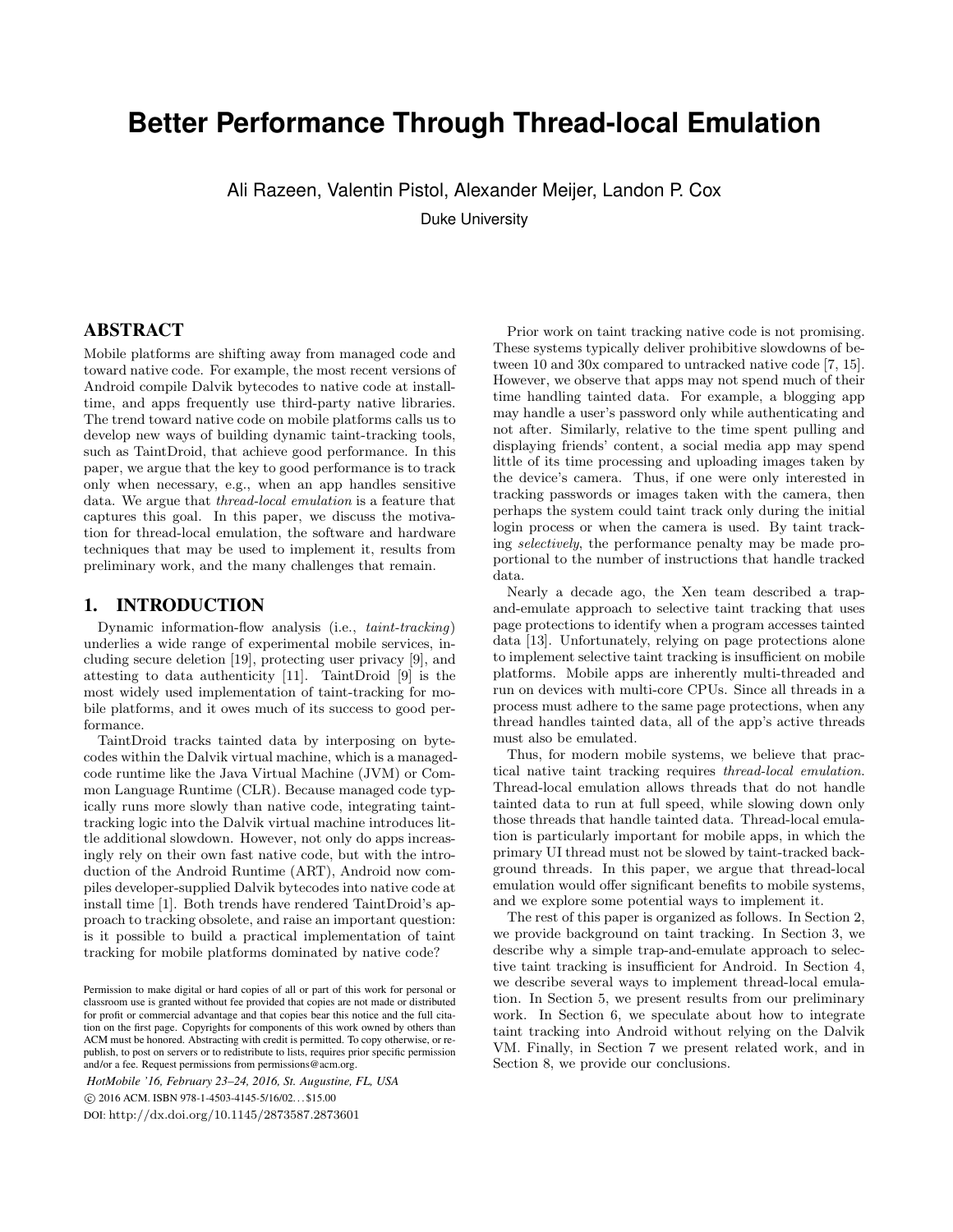# **Better Performance Through Thread-local Emulation**

Ali Razeen, Valentin Pistol, Alexander Meijer, Landon P. Cox

Duke University

# ABSTRACT

Mobile platforms are shifting away from managed code and toward native code. For example, the most recent versions of Android compile Dalvik bytecodes to native code at installtime, and apps frequently use third-party native libraries. The trend toward native code on mobile platforms calls us to develop new ways of building dynamic taint-tracking tools, such as TaintDroid, that achieve good performance. In this paper, we argue that the key to good performance is to track only when necessary, e.g., when an app handles sensitive data. We argue that thread-local emulation is a feature that captures this goal. In this paper, we discuss the motivation for thread-local emulation, the software and hardware techniques that may be used to implement it, results from preliminary work, and the many challenges that remain.

## 1. INTRODUCTION

Dynamic information-flow analysis (i.e., taint-tracking) underlies a wide range of experimental mobile services, including secure deletion [19], protecting user privacy [9], and attesting to data authenticity [11]. TaintDroid [9] is the most widely used implementation of taint-tracking for mobile platforms, and it owes much of its success to good performance.

TaintDroid tracks tainted data by interposing on bytecodes within the Dalvik virtual machine, which is a managedcode runtime like the Java Virtual Machine (JVM) or Common Language Runtime (CLR). Because managed code typically runs more slowly than native code, integrating tainttracking logic into the Dalvik virtual machine introduces little additional slowdown. However, not only do apps increasingly rely on their own fast native code, but with the introduction of the Android Runtime (ART), Android now compiles developer-supplied Dalvik bytecodes into native code at install time [1]. Both trends have rendered TaintDroid's approach to tracking obsolete, and raise an important question: is it possible to build a practical implementation of taint tracking for mobile platforms dominated by native code?

*HotMobile '16, February 23–24, 2016, St. Augustine, FL, USA* c 2016 ACM. ISBN 978-1-4503-4145-5/16/02. . . \$15.00 DOI: http://dx.doi.org/10.1145/2873587.2873601

Prior work on taint tracking native code is not promising. These systems typically deliver prohibitive slowdowns of between 10 and 30x compared to untracked native code [7, 15]. However, we observe that apps may not spend much of their time handling tainted data. For example, a blogging app may handle a user's password only while authenticating and not after. Similarly, relative to the time spent pulling and displaying friends' content, a social media app may spend little of its time processing and uploading images taken by the device's camera. Thus, if one were only interested in tracking passwords or images taken with the camera, then perhaps the system could taint track only during the initial login process or when the camera is used. By taint tracking selectively, the performance penalty may be made proportional to the number of instructions that handle tracked data.

Nearly a decade ago, the Xen team described a trapand-emulate approach to selective taint tracking that uses page protections to identify when a program accesses tainted data [13]. Unfortunately, relying on page protections alone to implement selective taint tracking is insufficient on mobile platforms. Mobile apps are inherently multi-threaded and run on devices with multi-core CPUs. Since all threads in a process must adhere to the same page protections, when any thread handles tainted data, all of the app's active threads must also be emulated.

Thus, for modern mobile systems, we believe that practical native taint tracking requires thread-local emulation. Thread-local emulation allows threads that do not handle tainted data to run at full speed, while slowing down only those threads that handle tainted data. Thread-local emulation is particularly important for mobile apps, in which the primary UI thread must not be slowed by taint-tracked background threads. In this paper, we argue that thread-local emulation would offer significant benefits to mobile systems, and we explore some potential ways to implement it.

The rest of this paper is organized as follows. In Section 2, we provide background on taint tracking. In Section 3, we describe why a simple trap-and-emulate approach to selective taint tracking is insufficient for Android. In Section 4, we describe several ways to implement thread-local emulation. In Section 5, we present results from our preliminary work. In Section 6, we speculate about how to integrate taint tracking into Android without relying on the Dalvik VM. Finally, in Section 7 we present related work, and in Section 8, we provide our conclusions.

Permission to make digital or hard copies of all or part of this work for personal or classroom use is granted without fee provided that copies are not made or distributed for profit or commercial advantage and that copies bear this notice and the full citation on the first page. Copyrights for components of this work owned by others than ACM must be honored. Abstracting with credit is permitted. To copy otherwise, or republish, to post on servers or to redistribute to lists, requires prior specific permission and/or a fee. Request permissions from permissions@acm.org.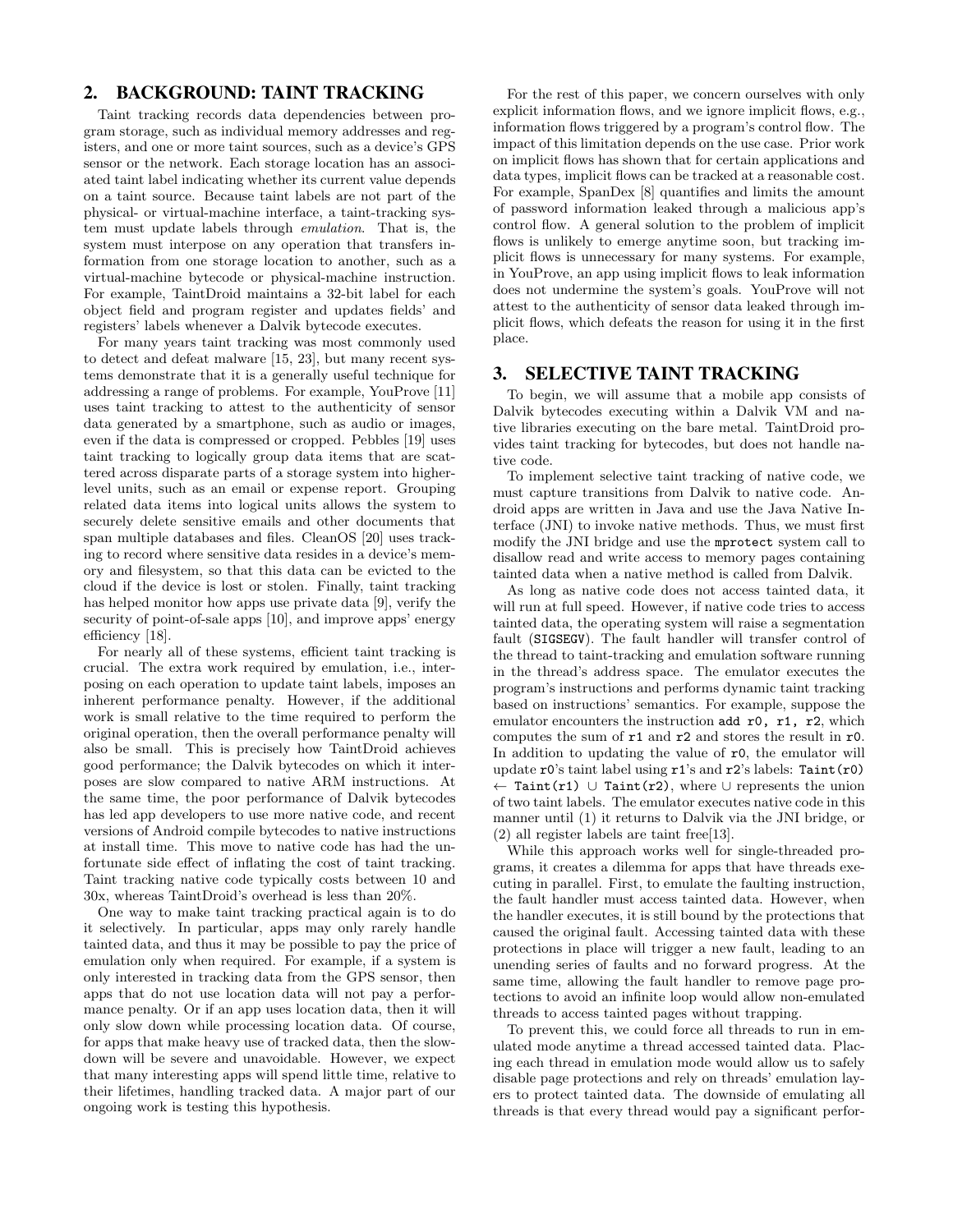# 2. BACKGROUND: TAINT TRACKING

Taint tracking records data dependencies between program storage, such as individual memory addresses and registers, and one or more taint sources, such as a device's GPS sensor or the network. Each storage location has an associated taint label indicating whether its current value depends on a taint source. Because taint labels are not part of the physical- or virtual-machine interface, a taint-tracking system must update labels through emulation. That is, the system must interpose on any operation that transfers information from one storage location to another, such as a virtual-machine bytecode or physical-machine instruction. For example, TaintDroid maintains a 32-bit label for each object field and program register and updates fields' and registers' labels whenever a Dalvik bytecode executes.

For many years taint tracking was most commonly used to detect and defeat malware [15, 23], but many recent systems demonstrate that it is a generally useful technique for addressing a range of problems. For example, YouProve [11] uses taint tracking to attest to the authenticity of sensor data generated by a smartphone, such as audio or images, even if the data is compressed or cropped. Pebbles [19] uses taint tracking to logically group data items that are scattered across disparate parts of a storage system into higherlevel units, such as an email or expense report. Grouping related data items into logical units allows the system to securely delete sensitive emails and other documents that span multiple databases and files. CleanOS [20] uses tracking to record where sensitive data resides in a device's memory and filesystem, so that this data can be evicted to the cloud if the device is lost or stolen. Finally, taint tracking has helped monitor how apps use private data [9], verify the security of point-of-sale apps [10], and improve apps' energy efficiency [18].

For nearly all of these systems, efficient taint tracking is crucial. The extra work required by emulation, i.e., interposing on each operation to update taint labels, imposes an inherent performance penalty. However, if the additional work is small relative to the time required to perform the original operation, then the overall performance penalty will also be small. This is precisely how TaintDroid achieves good performance; the Dalvik bytecodes on which it interposes are slow compared to native ARM instructions. At the same time, the poor performance of Dalvik bytecodes has led app developers to use more native code, and recent versions of Android compile bytecodes to native instructions at install time. This move to native code has had the unfortunate side effect of inflating the cost of taint tracking. Taint tracking native code typically costs between 10 and 30x, whereas TaintDroid's overhead is less than 20%.

One way to make taint tracking practical again is to do it selectively. In particular, apps may only rarely handle tainted data, and thus it may be possible to pay the price of emulation only when required. For example, if a system is only interested in tracking data from the GPS sensor, then apps that do not use location data will not pay a performance penalty. Or if an app uses location data, then it will only slow down while processing location data. Of course, for apps that make heavy use of tracked data, then the slowdown will be severe and unavoidable. However, we expect that many interesting apps will spend little time, relative to their lifetimes, handling tracked data. A major part of our ongoing work is testing this hypothesis.

For the rest of this paper, we concern ourselves with only explicit information flows, and we ignore implicit flows, e.g., information flows triggered by a program's control flow. The impact of this limitation depends on the use case. Prior work on implicit flows has shown that for certain applications and data types, implicit flows can be tracked at a reasonable cost. For example, SpanDex [8] quantifies and limits the amount of password information leaked through a malicious app's control flow. A general solution to the problem of implicit flows is unlikely to emerge anytime soon, but tracking implicit flows is unnecessary for many systems. For example, in YouProve, an app using implicit flows to leak information does not undermine the system's goals. YouProve will not attest to the authenticity of sensor data leaked through implicit flows, which defeats the reason for using it in the first place.

## 3. SELECTIVE TAINT TRACKING

To begin, we will assume that a mobile app consists of Dalvik bytecodes executing within a Dalvik VM and native libraries executing on the bare metal. TaintDroid provides taint tracking for bytecodes, but does not handle native code.

To implement selective taint tracking of native code, we must capture transitions from Dalvik to native code. Android apps are written in Java and use the Java Native Interface (JNI) to invoke native methods. Thus, we must first modify the JNI bridge and use the mprotect system call to disallow read and write access to memory pages containing tainted data when a native method is called from Dalvik.

As long as native code does not access tainted data, it will run at full speed. However, if native code tries to access tainted data, the operating system will raise a segmentation fault (SIGSEGV). The fault handler will transfer control of the thread to taint-tracking and emulation software running in the thread's address space. The emulator executes the program's instructions and performs dynamic taint tracking based on instructions' semantics. For example, suppose the emulator encounters the instruction add r0, r1, r2, which computes the sum of r1 and r2 and stores the result in r0. In addition to updating the value of r0, the emulator will update r0's taint label using r1's and r2's labels: Taint(r0) ← Taint(r1) ∪ Taint(r2), where ∪ represents the union of two taint labels. The emulator executes native code in this manner until (1) it returns to Dalvik via the JNI bridge, or (2) all register labels are taint free[13].

While this approach works well for single-threaded programs, it creates a dilemma for apps that have threads executing in parallel. First, to emulate the faulting instruction, the fault handler must access tainted data. However, when the handler executes, it is still bound by the protections that caused the original fault. Accessing tainted data with these protections in place will trigger a new fault, leading to an unending series of faults and no forward progress. At the same time, allowing the fault handler to remove page protections to avoid an infinite loop would allow non-emulated threads to access tainted pages without trapping.

To prevent this, we could force all threads to run in emulated mode anytime a thread accessed tainted data. Placing each thread in emulation mode would allow us to safely disable page protections and rely on threads' emulation layers to protect tainted data. The downside of emulating all threads is that every thread would pay a significant perfor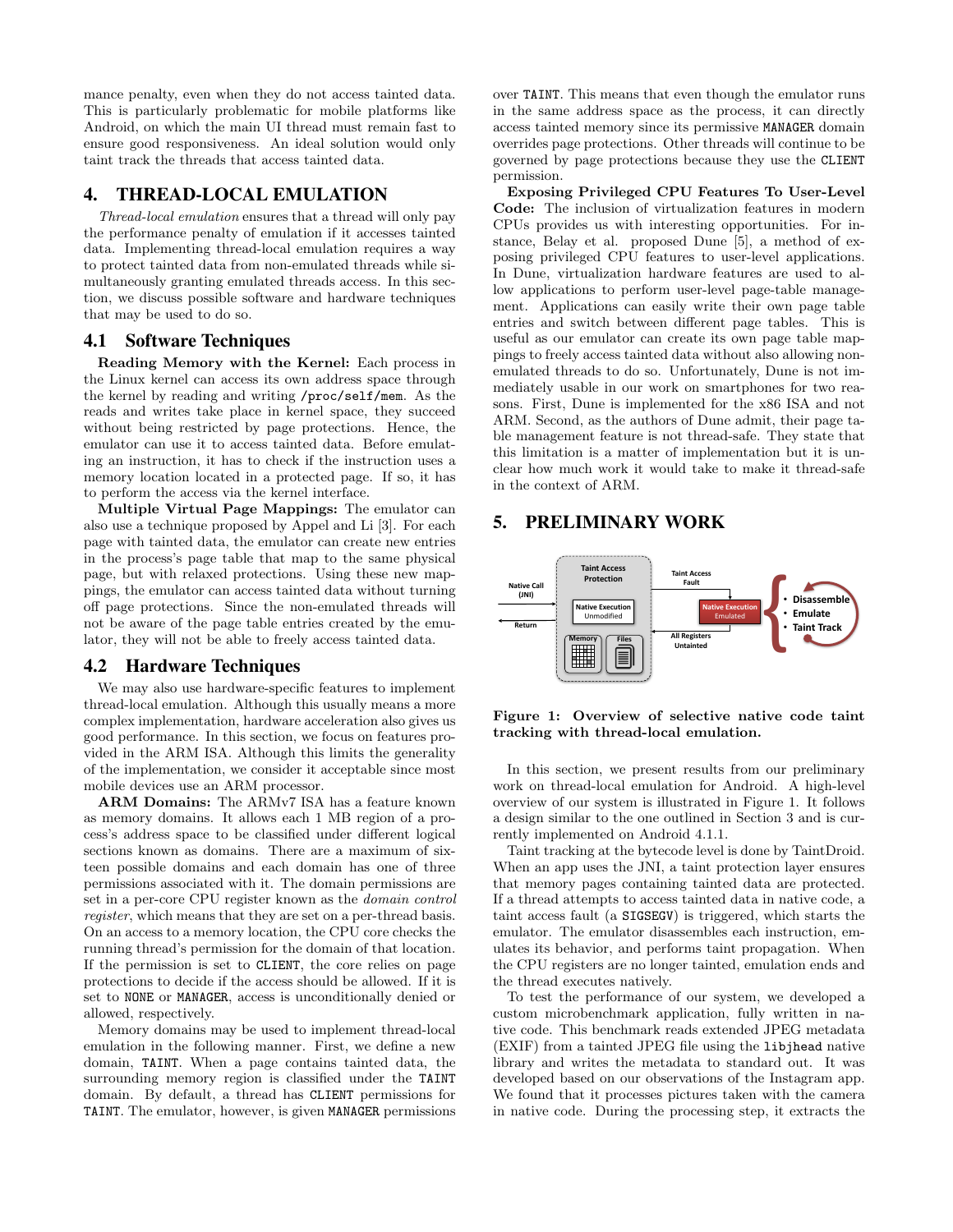mance penalty, even when they do not access tainted data. This is particularly problematic for mobile platforms like Android, on which the main UI thread must remain fast to ensure good responsiveness. An ideal solution would only taint track the threads that access tainted data.

# 4. THREAD-LOCAL EMULATION

Thread-local emulation ensures that a thread will only pay the performance penalty of emulation if it accesses tainted data. Implementing thread-local emulation requires a way to protect tainted data from non-emulated threads while simultaneously granting emulated threads access. In this section, we discuss possible software and hardware techniques that may be used to do so.

## 4.1 Software Techniques

Reading Memory with the Kernel: Each process in the Linux kernel can access its own address space through the kernel by reading and writing /proc/self/mem. As the reads and writes take place in kernel space, they succeed without being restricted by page protections. Hence, the emulator can use it to access tainted data. Before emulating an instruction, it has to check if the instruction uses a memory location located in a protected page. If so, it has to perform the access via the kernel interface.

Multiple Virtual Page Mappings: The emulator can also use a technique proposed by Appel and Li [3]. For each page with tainted data, the emulator can create new entries in the process's page table that map to the same physical page, but with relaxed protections. Using these new mappings, the emulator can access tainted data without turning off page protections. Since the non-emulated threads will not be aware of the page table entries created by the emulator, they will not be able to freely access tainted data.

### 4.2 Hardware Techniques

We may also use hardware-specific features to implement thread-local emulation. Although this usually means a more complex implementation, hardware acceleration also gives us good performance. In this section, we focus on features provided in the ARM ISA. Although this limits the generality of the implementation, we consider it acceptable since most mobile devices use an ARM processor.

ARM Domains: The ARMv7 ISA has a feature known as memory domains. It allows each 1 MB region of a process's address space to be classified under different logical sections known as domains. There are a maximum of sixteen possible domains and each domain has one of three permissions associated with it. The domain permissions are set in a per-core CPU register known as the domain control register, which means that they are set on a per-thread basis. On an access to a memory location, the CPU core checks the running thread's permission for the domain of that location. If the permission is set to CLIENT, the core relies on page protections to decide if the access should be allowed. If it is set to NONE or MANAGER, access is unconditionally denied or allowed, respectively.

Memory domains may be used to implement thread-local emulation in the following manner. First, we define a new domain, TAINT. When a page contains tainted data, the surrounding memory region is classified under the TAINT domain. By default, a thread has CLIENT permissions for TAINT. The emulator, however, is given MANAGER permissions over TAINT. This means that even though the emulator runs in the same address space as the process, it can directly access tainted memory since its permissive MANAGER domain overrides page protections. Other threads will continue to be governed by page protections because they use the CLIENT permission.

Exposing Privileged CPU Features To User-Level Code: The inclusion of virtualization features in modern CPUs provides us with interesting opportunities. For instance, Belay et al. proposed Dune [5], a method of exposing privileged CPU features to user-level applications. In Dune, virtualization hardware features are used to allow applications to perform user-level page-table management. Applications can easily write their own page table entries and switch between different page tables. This is useful as our emulator can create its own page table mappings to freely access tainted data without also allowing nonemulated threads to do so. Unfortunately, Dune is not immediately usable in our work on smartphones for two reasons. First, Dune is implemented for the x86 ISA and not ARM. Second, as the authors of Dune admit, their page table management feature is not thread-safe. They state that this limitation is a matter of implementation but it is unclear how much work it would take to make it thread-safe in the context of ARM.

# 5. PRELIMINARY WORK



Figure 1: Overview of selective native code taint tracking with thread-local emulation.

In this section, we present results from our preliminary work on thread-local emulation for Android. A high-level overview of our system is illustrated in Figure 1. It follows a design similar to the one outlined in Section 3 and is currently implemented on Android 4.1.1.

Taint tracking at the bytecode level is done by TaintDroid. When an app uses the JNI, a taint protection layer ensures that memory pages containing tainted data are protected. If a thread attempts to access tainted data in native code, a taint access fault (a SIGSEGV) is triggered, which starts the emulator. The emulator disassembles each instruction, emulates its behavior, and performs taint propagation. When the CPU registers are no longer tainted, emulation ends and the thread executes natively.

To test the performance of our system, we developed a custom microbenchmark application, fully written in native code. This benchmark reads extended JPEG metadata (EXIF) from a tainted JPEG file using the libjhead native library and writes the metadata to standard out. It was developed based on our observations of the Instagram app. We found that it processes pictures taken with the camera in native code. During the processing step, it extracts the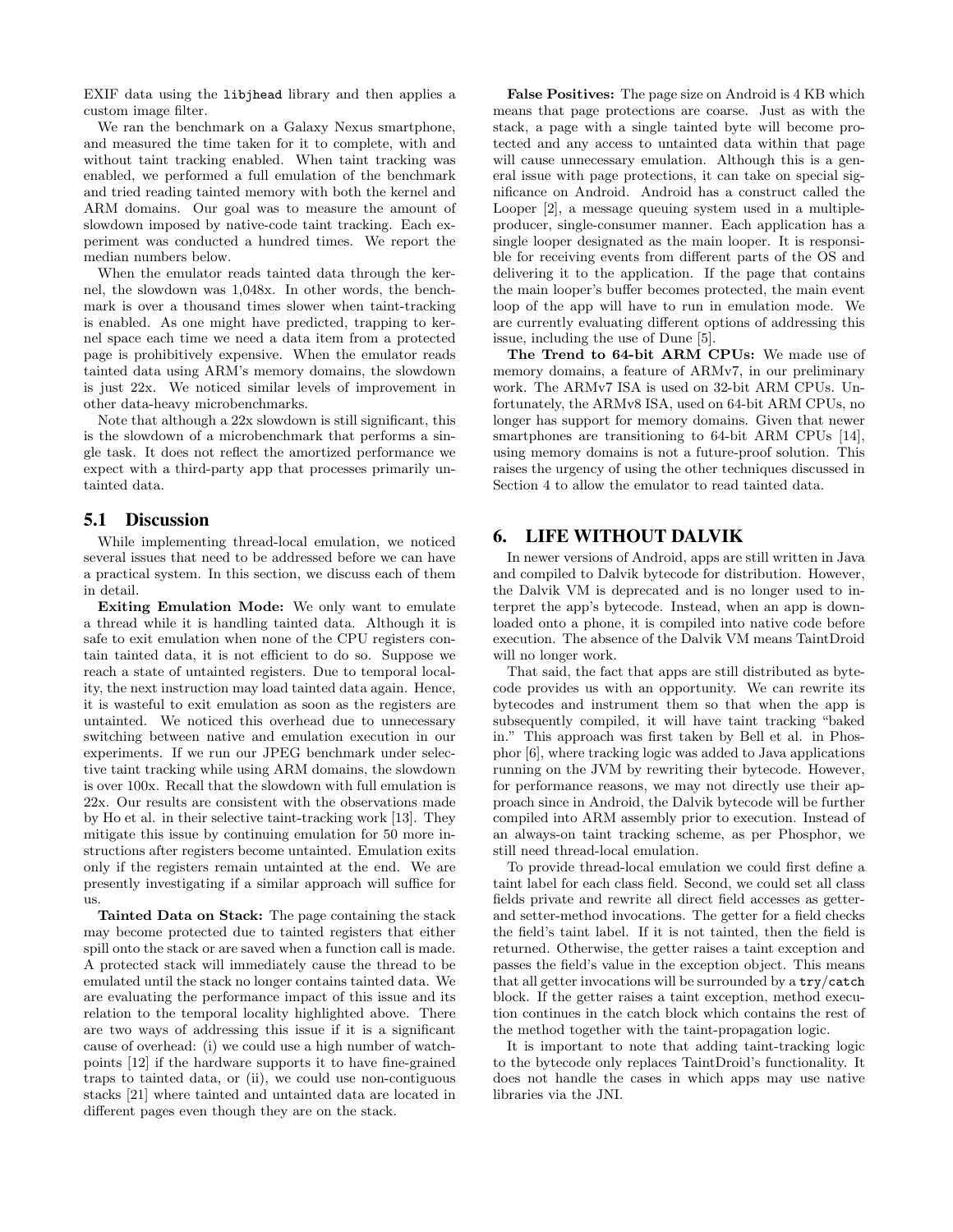EXIF data using the libjhead library and then applies a custom image filter.

We ran the benchmark on a Galaxy Nexus smartphone, and measured the time taken for it to complete, with and without taint tracking enabled. When taint tracking was enabled, we performed a full emulation of the benchmark and tried reading tainted memory with both the kernel and ARM domains. Our goal was to measure the amount of slowdown imposed by native-code taint tracking. Each experiment was conducted a hundred times. We report the median numbers below.

When the emulator reads tainted data through the kernel, the slowdown was 1,048x. In other words, the benchmark is over a thousand times slower when taint-tracking is enabled. As one might have predicted, trapping to kernel space each time we need a data item from a protected page is prohibitively expensive. When the emulator reads tainted data using ARM's memory domains, the slowdown is just 22x. We noticed similar levels of improvement in other data-heavy microbenchmarks.

Note that although a 22x slowdown is still significant, this is the slowdown of a microbenchmark that performs a single task. It does not reflect the amortized performance we expect with a third-party app that processes primarily untainted data.

### 5.1 Discussion

While implementing thread-local emulation, we noticed several issues that need to be addressed before we can have a practical system. In this section, we discuss each of them in detail.

Exiting Emulation Mode: We only want to emulate a thread while it is handling tainted data. Although it is safe to exit emulation when none of the CPU registers contain tainted data, it is not efficient to do so. Suppose we reach a state of untainted registers. Due to temporal locality, the next instruction may load tainted data again. Hence, it is wasteful to exit emulation as soon as the registers are untainted. We noticed this overhead due to unnecessary switching between native and emulation execution in our experiments. If we run our JPEG benchmark under selective taint tracking while using ARM domains, the slowdown is over 100x. Recall that the slowdown with full emulation is 22x. Our results are consistent with the observations made by Ho et al. in their selective taint-tracking work [13]. They mitigate this issue by continuing emulation for 50 more instructions after registers become untainted. Emulation exits only if the registers remain untainted at the end. We are presently investigating if a similar approach will suffice for us.

Tainted Data on Stack: The page containing the stack may become protected due to tainted registers that either spill onto the stack or are saved when a function call is made. A protected stack will immediately cause the thread to be emulated until the stack no longer contains tainted data. We are evaluating the performance impact of this issue and its relation to the temporal locality highlighted above. There are two ways of addressing this issue if it is a significant cause of overhead: (i) we could use a high number of watchpoints [12] if the hardware supports it to have fine-grained traps to tainted data, or (ii), we could use non-contiguous stacks [21] where tainted and untainted data are located in different pages even though they are on the stack.

False Positives: The page size on Android is 4 KB which means that page protections are coarse. Just as with the stack, a page with a single tainted byte will become protected and any access to untainted data within that page will cause unnecessary emulation. Although this is a general issue with page protections, it can take on special significance on Android. Android has a construct called the Looper [2], a message queuing system used in a multipleproducer, single-consumer manner. Each application has a single looper designated as the main looper. It is responsible for receiving events from different parts of the OS and delivering it to the application. If the page that contains the main looper's buffer becomes protected, the main event loop of the app will have to run in emulation mode. We are currently evaluating different options of addressing this issue, including the use of Dune [5].

The Trend to 64-bit ARM CPUs: We made use of memory domains, a feature of ARMv7, in our preliminary work. The ARMv7 ISA is used on 32-bit ARM CPUs. Unfortunately, the ARMv8 ISA, used on 64-bit ARM CPUs, no longer has support for memory domains. Given that newer smartphones are transitioning to 64-bit ARM CPUs [14], using memory domains is not a future-proof solution. This raises the urgency of using the other techniques discussed in Section 4 to allow the emulator to read tainted data.

# 6. LIFE WITHOUT DALVIK

In newer versions of Android, apps are still written in Java and compiled to Dalvik bytecode for distribution. However, the Dalvik VM is deprecated and is no longer used to interpret the app's bytecode. Instead, when an app is downloaded onto a phone, it is compiled into native code before execution. The absence of the Dalvik VM means TaintDroid will no longer work.

That said, the fact that apps are still distributed as bytecode provides us with an opportunity. We can rewrite its bytecodes and instrument them so that when the app is subsequently compiled, it will have taint tracking "baked in." This approach was first taken by Bell et al. in Phosphor [6], where tracking logic was added to Java applications running on the JVM by rewriting their bytecode. However, for performance reasons, we may not directly use their approach since in Android, the Dalvik bytecode will be further compiled into ARM assembly prior to execution. Instead of an always-on taint tracking scheme, as per Phosphor, we still need thread-local emulation.

To provide thread-local emulation we could first define a taint label for each class field. Second, we could set all class fields private and rewrite all direct field accesses as getterand setter-method invocations. The getter for a field checks the field's taint label. If it is not tainted, then the field is returned. Otherwise, the getter raises a taint exception and passes the field's value in the exception object. This means that all getter invocations will be surrounded by a try/catch block. If the getter raises a taint exception, method execution continues in the catch block which contains the rest of the method together with the taint-propagation logic.

It is important to note that adding taint-tracking logic to the bytecode only replaces TaintDroid's functionality. It does not handle the cases in which apps may use native libraries via the JNI.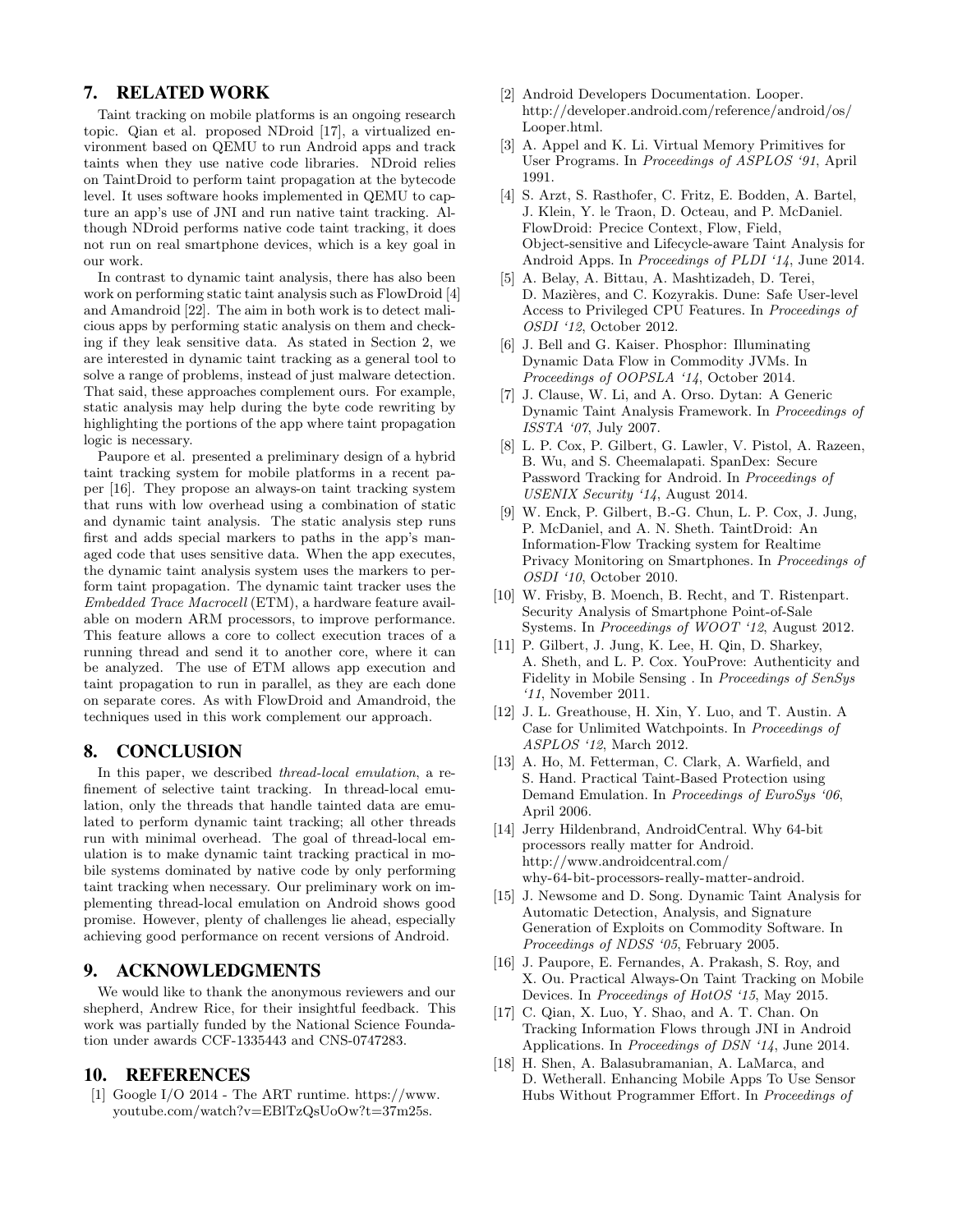# 7. RELATED WORK

Taint tracking on mobile platforms is an ongoing research topic. Qian et al. proposed NDroid [17], a virtualized environment based on QEMU to run Android apps and track taints when they use native code libraries. NDroid relies on TaintDroid to perform taint propagation at the bytecode level. It uses software hooks implemented in QEMU to capture an app's use of JNI and run native taint tracking. Although NDroid performs native code taint tracking, it does not run on real smartphone devices, which is a key goal in our work.

In contrast to dynamic taint analysis, there has also been work on performing static taint analysis such as FlowDroid [4] and Amandroid [22]. The aim in both work is to detect malicious apps by performing static analysis on them and checking if they leak sensitive data. As stated in Section 2, we are interested in dynamic taint tracking as a general tool to solve a range of problems, instead of just malware detection. That said, these approaches complement ours. For example, static analysis may help during the byte code rewriting by highlighting the portions of the app where taint propagation logic is necessary.

Paupore et al. presented a preliminary design of a hybrid taint tracking system for mobile platforms in a recent paper [16]. They propose an always-on taint tracking system that runs with low overhead using a combination of static and dynamic taint analysis. The static analysis step runs first and adds special markers to paths in the app's managed code that uses sensitive data. When the app executes, the dynamic taint analysis system uses the markers to perform taint propagation. The dynamic taint tracker uses the Embedded Trace Macrocell (ETM), a hardware feature available on modern ARM processors, to improve performance. This feature allows a core to collect execution traces of a running thread and send it to another core, where it can be analyzed. The use of ETM allows app execution and taint propagation to run in parallel, as they are each done on separate cores. As with FlowDroid and Amandroid, the techniques used in this work complement our approach.

#### 8. CONCLUSION

In this paper, we described thread-local emulation, a refinement of selective taint tracking. In thread-local emulation, only the threads that handle tainted data are emulated to perform dynamic taint tracking; all other threads run with minimal overhead. The goal of thread-local emulation is to make dynamic taint tracking practical in mobile systems dominated by native code by only performing taint tracking when necessary. Our preliminary work on implementing thread-local emulation on Android shows good promise. However, plenty of challenges lie ahead, especially achieving good performance on recent versions of Android.

# 9. ACKNOWLEDGMENTS

We would like to thank the anonymous reviewers and our shepherd, Andrew Rice, for their insightful feedback. This work was partially funded by the National Science Foundation under awards CCF-1335443 and CNS-0747283.

## 10. REFERENCES

[1] Google I/O 2014 - The ART runtime. https://www. youtube.com/watch?v=EBlTzQsUoOw?t=37m25s.

- [2] Android Developers Documentation. Looper. http://developer.android.com/reference/android/os/ Looper.html.
- [3] A. Appel and K. Li. Virtual Memory Primitives for User Programs. In Proceedings of ASPLOS '91, April 1991.
- [4] S. Arzt, S. Rasthofer, C. Fritz, E. Bodden, A. Bartel, J. Klein, Y. le Traon, D. Octeau, and P. McDaniel. FlowDroid: Precice Context, Flow, Field, Object-sensitive and Lifecycle-aware Taint Analysis for Android Apps. In Proceedings of PLDI '14, June 2014.
- [5] A. Belay, A. Bittau, A. Mashtizadeh, D. Terei, D. Mazières, and C. Kozyrakis. Dune: Safe User-level Access to Privileged CPU Features. In Proceedings of OSDI '12, October 2012.
- [6] J. Bell and G. Kaiser. Phosphor: Illuminating Dynamic Data Flow in Commodity JVMs. In Proceedings of OOPSLA '14, October 2014.
- [7] J. Clause, W. Li, and A. Orso. Dytan: A Generic Dynamic Taint Analysis Framework. In Proceedings of ISSTA '07, July 2007.
- [8] L. P. Cox, P. Gilbert, G. Lawler, V. Pistol, A. Razeen, B. Wu, and S. Cheemalapati. SpanDex: Secure Password Tracking for Android. In Proceedings of USENIX Security '14, August 2014.
- [9] W. Enck, P. Gilbert, B.-G. Chun, L. P. Cox, J. Jung, P. McDaniel, and A. N. Sheth. TaintDroid: An Information-Flow Tracking system for Realtime Privacy Monitoring on Smartphones. In Proceedings of OSDI '10, October 2010.
- [10] W. Frisby, B. Moench, B. Recht, and T. Ristenpart. Security Analysis of Smartphone Point-of-Sale Systems. In Proceedings of WOOT '12, August 2012.
- [11] P. Gilbert, J. Jung, K. Lee, H. Qin, D. Sharkey, A. Sheth, and L. P. Cox. YouProve: Authenticity and Fidelity in Mobile Sensing . In Proceedings of SenSys '11, November 2011.
- [12] J. L. Greathouse, H. Xin, Y. Luo, and T. Austin. A Case for Unlimited Watchpoints. In Proceedings of ASPLOS '12, March 2012.
- [13] A. Ho, M. Fetterman, C. Clark, A. Warfield, and S. Hand. Practical Taint-Based Protection using Demand Emulation. In Proceedings of EuroSys '06, April 2006.
- [14] Jerry Hildenbrand, AndroidCentral. Why 64-bit processors really matter for Android. http://www.androidcentral.com/ why-64-bit-processors-really-matter-android.
- [15] J. Newsome and D. Song. Dynamic Taint Analysis for Automatic Detection, Analysis, and Signature Generation of Exploits on Commodity Software. In Proceedings of NDSS '05, February 2005.
- [16] J. Paupore, E. Fernandes, A. Prakash, S. Roy, and X. Ou. Practical Always-On Taint Tracking on Mobile Devices. In Proceedings of HotOS '15, May 2015.
- [17] C. Qian, X. Luo, Y. Shao, and A. T. Chan. On Tracking Information Flows through JNI in Android Applications. In Proceedings of DSN '14, June 2014.
- [18] H. Shen, A. Balasubramanian, A. LaMarca, and D. Wetherall. Enhancing Mobile Apps To Use Sensor Hubs Without Programmer Effort. In Proceedings of